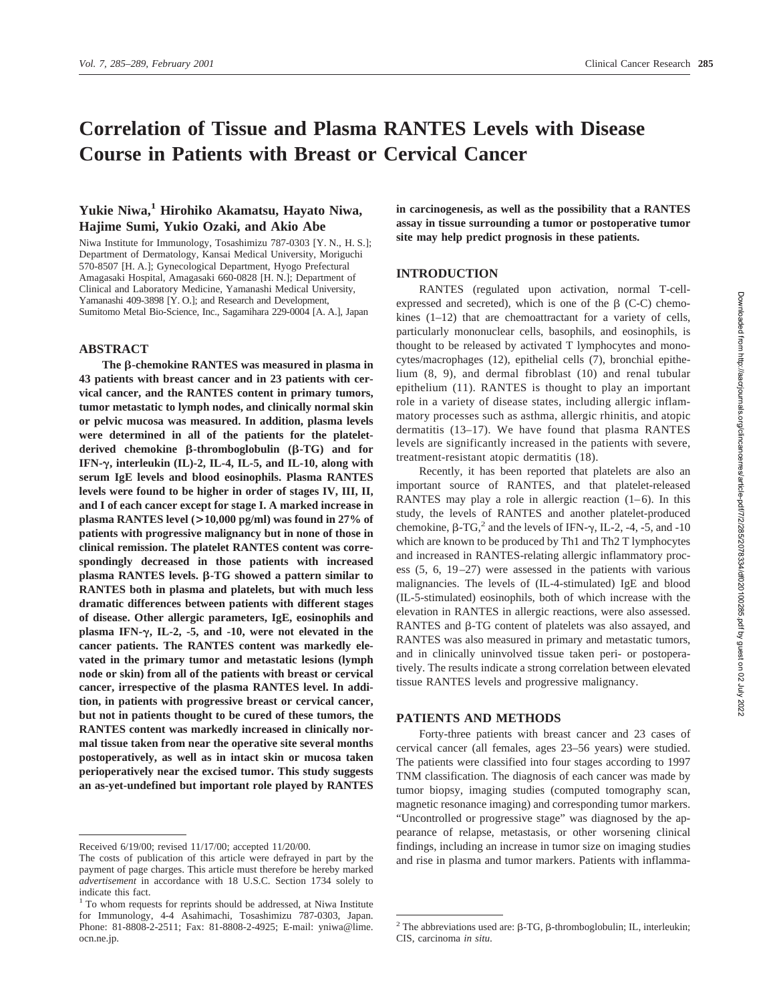# **Correlation of Tissue and Plasma RANTES Levels with Disease Course in Patients with Breast or Cervical Cancer**

# **Yukie Niwa,1 Hirohiko Akamatsu, Hayato Niwa, Hajime Sumi, Yukio Ozaki, and Akio Abe**

Niwa Institute for Immunology, Tosashimizu 787-0303 [Y. N., H. S.]; Department of Dermatology, Kansai Medical University, Moriguchi 570-8507 [H. A.]; Gynecological Department, Hyogo Prefectural Amagasaki Hospital, Amagasaki 660-0828 [H. N.]; Department of Clinical and Laboratory Medicine, Yamanashi Medical University, Yamanashi 409-3898 [Y. O.]; and Research and Development, Sumitomo Metal Bio-Science, Inc., Sagamihara 229-0004 [A. A.], Japan

#### **ABSTRACT**

**The** b**-chemokine RANTES was measured in plasma in 43 patients with breast cancer and in 23 patients with cervical cancer, and the RANTES content in primary tumors, tumor metastatic to lymph nodes, and clinically normal skin or pelvic mucosa was measured. In addition, plasma levels were determined in all of the patients for the plateletderived chemokine** b**-thromboglobulin (**b**-TG) and for IFN-**g**, interleukin (IL)-2, IL-4, IL-5, and IL-10, along with serum IgE levels and blood eosinophils. Plasma RANTES levels were found to be higher in order of stages IV, III, II, and I of each cancer except for stage I. A marked increase in plasma RANTES level (>10,000 pg/ml) was found in 27% of patients with progressive malignancy but in none of those in clinical remission. The platelet RANTES content was correspondingly decreased in those patients with increased**  $p$ lasma RANTES levels.  $\beta$ -TG showed a pattern similar to **RANTES both in plasma and platelets, but with much less dramatic differences between patients with different stages of disease. Other allergic parameters, IgE, eosinophils and plasma IFN-**g**, IL-2, -5, and -10, were not elevated in the cancer patients. The RANTES content was markedly elevated in the primary tumor and metastatic lesions (lymph node or skin) from all of the patients with breast or cervical cancer, irrespective of the plasma RANTES level. In addition, in patients with progressive breast or cervical cancer, but not in patients thought to be cured of these tumors, the RANTES content was markedly increased in clinically normal tissue taken from near the operative site several months postoperatively, as well as in intact skin or mucosa taken perioperatively near the excised tumor. This study suggests an as-yet-undefined but important role played by RANTES** **in carcinogenesis, as well as the possibility that a RANTES assay in tissue surrounding a tumor or postoperative tumor site may help predict prognosis in these patients.**

### **INTRODUCTION**

RANTES (regulated upon activation, normal T-cellexpressed and secreted), which is one of the  $\beta$  (C-C) chemokines (1–12) that are chemoattractant for a variety of cells, particularly mononuclear cells, basophils, and eosinophils, is thought to be released by activated T lymphocytes and monocytes/macrophages (12), epithelial cells (7), bronchial epithelium (8, 9), and dermal fibroblast (10) and renal tubular epithelium (11). RANTES is thought to play an important role in a variety of disease states, including allergic inflammatory processes such as asthma, allergic rhinitis, and atopic dermatitis (13–17). We have found that plasma RANTES levels are significantly increased in the patients with severe, treatment-resistant atopic dermatitis (18).

Recently, it has been reported that platelets are also an important source of RANTES, and that platelet-released RANTES may play a role in allergic reaction  $(1-6)$ . In this study, the levels of RANTES and another platelet-produced chemokine,  $\beta$ -TG,<sup>2</sup> and the levels of IFN- $\gamma$ , IL-2, -4, -5, and -10 which are known to be produced by Th1 and Th2 T lymphocytes and increased in RANTES-relating allergic inflammatory process (5, 6, 19–27) were assessed in the patients with various malignancies. The levels of (IL-4-stimulated) IgE and blood (IL-5-stimulated) eosinophils, both of which increase with the elevation in RANTES in allergic reactions, were also assessed. RANTES and  $\beta$ -TG content of platelets was also assayed, and RANTES was also measured in primary and metastatic tumors, and in clinically uninvolved tissue taken peri- or postoperatively. The results indicate a strong correlation between elevated tissue RANTES levels and progressive malignancy.

## **PATIENTS AND METHODS**

Forty-three patients with breast cancer and 23 cases of cervical cancer (all females, ages 23–56 years) were studied. The patients were classified into four stages according to 1997 TNM classification. The diagnosis of each cancer was made by tumor biopsy, imaging studies (computed tomography scan, magnetic resonance imaging) and corresponding tumor markers. "Uncontrolled or progressive stage" was diagnosed by the appearance of relapse, metastasis, or other worsening clinical findings, including an increase in tumor size on imaging studies and rise in plasma and tumor markers. Patients with inflamma-

Received 6/19/00; revised 11/17/00; accepted 11/20/00.

The costs of publication of this article were defrayed in part by the payment of page charges. This article must therefore be hereby marked *advertisement* in accordance with 18 U.S.C. Section 1734 solely to indicate this fact.

<sup>1</sup> To whom requests for reprints should be addressed, at Niwa Institute for Immunology, 4-4 Asahimachi, Tosashimizu 787-0303, Japan. Phone: 81-8808-2-2511; Fax: 81-8808-2-4925; E-mail: yniwa@lime. ocn.ne.jp.

<sup>&</sup>lt;sup>2</sup> The abbreviations used are:  $\beta$ -TG,  $\beta$ -thromboglobulin; IL, interleukin; CIS, carcinoma *in situ*.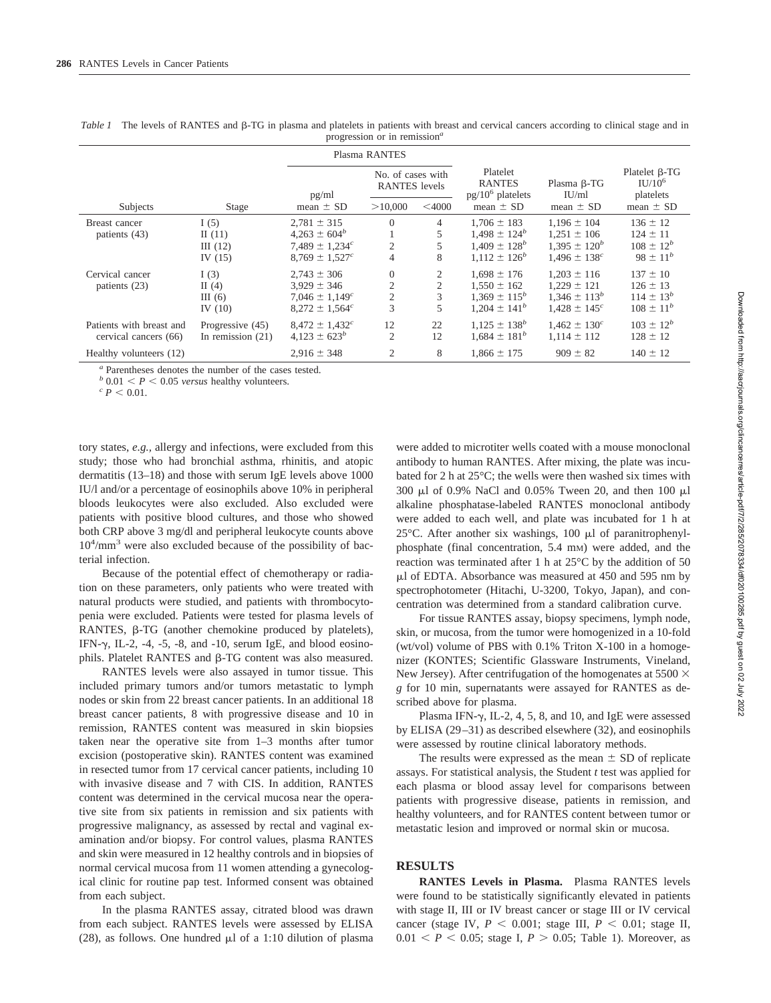| $\mu$ $\alpha$ $\mu$ $\alpha$ $\mu$ $\mu$ $\mu$ $\alpha$ $\mu$ $\alpha$ |                                            |                                                                                                          |                                                       |                  |                                                                                |                                                                                         |                                                                      |  |  |
|-------------------------------------------------------------------------|--------------------------------------------|----------------------------------------------------------------------------------------------------------|-------------------------------------------------------|------------------|--------------------------------------------------------------------------------|-----------------------------------------------------------------------------------------|----------------------------------------------------------------------|--|--|
|                                                                         |                                            |                                                                                                          | Plasma RANTES                                         |                  |                                                                                |                                                                                         |                                                                      |  |  |
|                                                                         |                                            | pg/ml                                                                                                    | No. of cases with<br><b>RANTES</b> levels             |                  | Platelet<br><b>RANTES</b><br>$pg/10^6$ platelets                               | Plasma $\beta$ -TG<br>IU/ml                                                             | Platelet $\beta$ -TG<br>$IU/10^6$<br>platelets                       |  |  |
| Subjects                                                                | Stage                                      | mean $\pm$ SD                                                                                            | >10,000                                               | $<$ 4000         | mean $\pm$ SD                                                                  | mean $\pm$ SD                                                                           | mean $\pm$ SD                                                        |  |  |
| Breast cancer<br>patients (43)                                          | I(5)<br>II $(11)$<br>III(12)<br>IV $(15)$  | $2,781 \pm 315$<br>$4.263 \pm 604^b$<br>7.489 $\pm$ 1.234 <sup>c</sup><br>$8,769 \pm 1,527$ <sup>c</sup> | $\overline{0}$<br>2<br>4                              | 4<br>5<br>5<br>8 | $1.706 \pm 183$<br>$1.498 \pm 124^b$<br>$1.409 \pm 128^b$<br>$1.112 \pm 126^b$ | $1.196 \pm 104$<br>$1.251 \pm 106$<br>$1,395 \pm 120^b$<br>$1.496 \pm 138$ <sup>c</sup> | $136 \pm 12$<br>$124 \pm 11$<br>$108 \pm 12^{b}$<br>$98 \pm 11^{b}$  |  |  |
| Cervical cancer<br>patients (23)                                        | I $(3)$<br>II $(4)$<br>III(6)<br>IV $(10)$ | $2.743 \pm 306$<br>$3.929 \pm 346$<br>$7,046 \pm 1,149$ <sup>c</sup><br>$8,272 \pm 1,564$ <sup>c</sup>   | $\mathbf{0}$<br>$\mathfrak{2}$<br>$\mathfrak{2}$<br>3 | 2<br>2<br>3<br>5 | $1.698 \pm 176$<br>$1.550 \pm 162$<br>$1.369 \pm 115^b$<br>$1.204 \pm 141^b$   | $1.203 \pm 116$<br>$1.229 \pm 121$<br>$1,346 \pm 113^b$<br>$1.428 \pm 145$ <sup>c</sup> | $137 \pm 10$<br>$126 \pm 13$<br>$114 \pm 13^{b}$<br>$108 \pm 11^{b}$ |  |  |
| Patients with breast and<br>cervical cancers (66)                       | Progressive (45)<br>In remission $(21)$    | $8,472 \pm 1,432$ <sup>c</sup><br>$4.123 \pm 623^b$                                                      | 12<br>$\overline{2}$                                  | 22<br>12         | $1,125 \pm 138^b$<br>$1.684 \pm 181^{b}$                                       | $1,462 \pm 130^{\circ}$<br>$1,114 \pm 112$                                              | $103 \pm 12^b$<br>$128 \pm 12$                                       |  |  |
| Healthy volunteers (12)                                                 |                                            | $2,916 \pm 348$                                                                                          | $\overline{2}$                                        | 8                | $1.866 \pm 175$                                                                | $909 \pm 82$                                                                            | $140 \pm 12$                                                         |  |  |

*Table 1* The levels of RANTES and β-TG in plasma and platelets in patients with breast and cervical cancers according to clinical stage and in progression or in remission*<sup>a</sup>*

*<sup>a</sup>* Parentheses denotes the number of the cases tested.

 $b$  0.01 < *P* < 0.05 *versus* healthy volunteers.  $c$  *P* < 0.01.

tory states, *e.g.,* allergy and infections, were excluded from this study; those who had bronchial asthma, rhinitis, and atopic dermatitis (13–18) and those with serum IgE levels above 1000 IU/l and/or a percentage of eosinophils above 10% in peripheral bloods leukocytes were also excluded. Also excluded were patients with positive blood cultures, and those who showed both CRP above 3 mg/dl and peripheral leukocyte counts above 104 /mm<sup>3</sup> were also excluded because of the possibility of bacterial infection.

Because of the potential effect of chemotherapy or radiation on these parameters, only patients who were treated with natural products were studied, and patients with thrombocytopenia were excluded. Patients were tested for plasma levels of RANTES,  $\beta$ -TG (another chemokine produced by platelets), IFN- $\gamma$ , IL-2, -4, -5, -8, and -10, serum IgE, and blood eosinophils. Platelet RANTES and  $\beta$ -TG content was also measured.

RANTES levels were also assayed in tumor tissue. This included primary tumors and/or tumors metastatic to lymph nodes or skin from 22 breast cancer patients. In an additional 18 breast cancer patients, 8 with progressive disease and 10 in remission, RANTES content was measured in skin biopsies taken near the operative site from 1–3 months after tumor excision (postoperative skin). RANTES content was examined in resected tumor from 17 cervical cancer patients, including 10 with invasive disease and 7 with CIS. In addition, RANTES content was determined in the cervical mucosa near the operative site from six patients in remission and six patients with progressive malignancy, as assessed by rectal and vaginal examination and/or biopsy. For control values, plasma RANTES and skin were measured in 12 healthy controls and in biopsies of normal cervical mucosa from 11 women attending a gynecological clinic for routine pap test. Informed consent was obtained from each subject.

In the plasma RANTES assay, citrated blood was drawn from each subject. RANTES levels were assessed by ELISA (28), as follows. One hundred  $\mu$ l of a 1:10 dilution of plasma

were added to microtiter wells coated with a mouse monoclonal antibody to human RANTES. After mixing, the plate was incubated for 2 h at 25°C; the wells were then washed six times with 300 ml of 0.9% NaCl and 0.05% Tween 20, and then 100 ml alkaline phosphatase-labeled RANTES monoclonal antibody were added to each well, and plate was incubated for 1 h at 25 $\degree$ C. After another six washings, 100  $\mu$ l of paranitrophenylphosphate (final concentration, 5.4 mm) were added, and the reaction was terminated after 1 h at 25°C by the addition of 50  $\mu$ l of EDTA. Absorbance was measured at 450 and 595 nm by spectrophotometer (Hitachi, U-3200, Tokyo, Japan), and concentration was determined from a standard calibration curve.

For tissue RANTES assay, biopsy specimens, lymph node, skin, or mucosa, from the tumor were homogenized in a 10-fold (wt/vol) volume of PBS with 0.1% Triton X-100 in a homogenizer (KONTES; Scientific Glassware Instruments, Vineland, New Jersey). After centrifugation of the homogenates at 5500  $\times$ *g* for 10 min, supernatants were assayed for RANTES as described above for plasma.

Plasma IFN- $\gamma$ , IL-2, 4, 5, 8, and 10, and IgE were assessed by ELISA (29–31) as described elsewhere (32), and eosinophils were assessed by routine clinical laboratory methods.

The results were expressed as the mean  $\pm$  SD of replicate assays. For statistical analysis, the Student *t* test was applied for each plasma or blood assay level for comparisons between patients with progressive disease, patients in remission, and healthy volunteers, and for RANTES content between tumor or metastatic lesion and improved or normal skin or mucosa.

# **RESULTS**

**RANTES Levels in Plasma.** Plasma RANTES levels were found to be statistically significantly elevated in patients with stage II, III or IV breast cancer or stage III or IV cervical cancer (stage IV,  $P < 0.001$ ; stage III,  $P < 0.01$ ; stage II,  $0.01 < P < 0.05$ ; stage I,  $P > 0.05$ ; Table 1). Moreover, as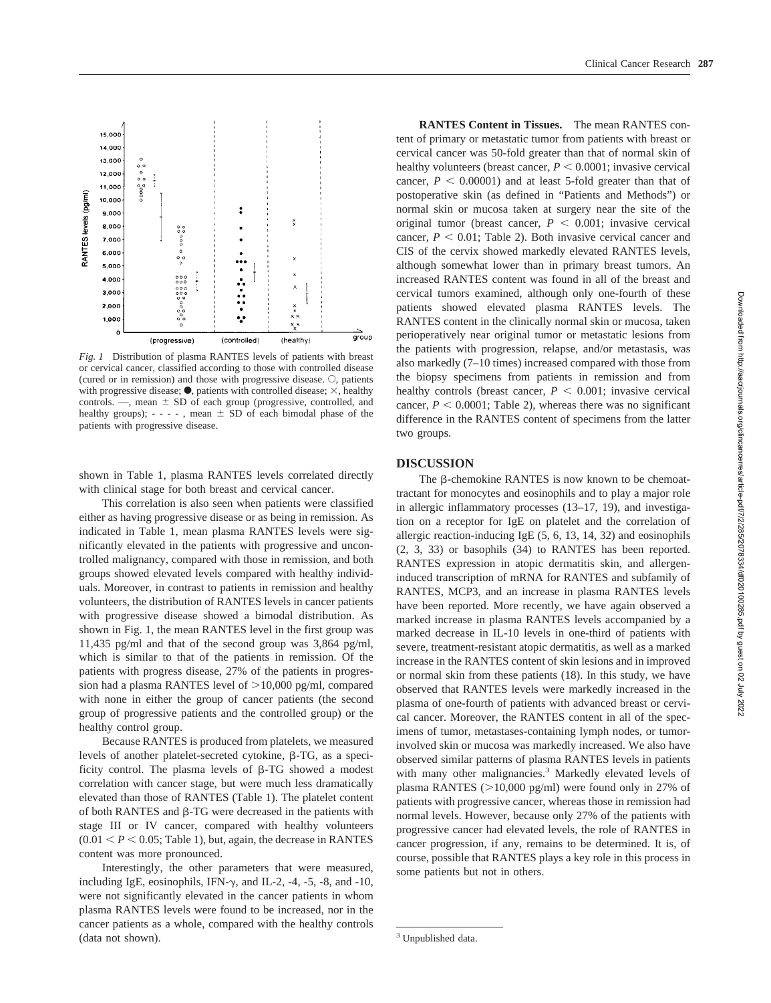

*Fig. 1* Distribution of plasma RANTES levels of patients with breast or cervical cancer, classified according to those with controlled disease (cured or in remission) and those with progressive disease.  $\circ$ , patients with progressive disease;  $\bullet$ , patients with controlled disease;  $\times$ , healthy controls. —, mean  $\pm$  SD of each group (progressive, controlled, and healthy groups);  $- - -$ , mean  $\pm$  SD of each bimodal phase of the patients with progressive disease.

shown in Table 1, plasma RANTES levels correlated directly with clinical stage for both breast and cervical cancer.

This correlation is also seen when patients were classified either as having progressive disease or as being in remission. As indicated in Table 1, mean plasma RANTES levels were significantly elevated in the patients with progressive and uncontrolled malignancy, compared with those in remission, and both groups showed elevated levels compared with healthy individuals. Moreover, in contrast to patients in remission and healthy volunteers, the distribution of RANTES levels in cancer patients with progressive disease showed a bimodal distribution. As shown in Fig. 1, the mean RANTES level in the first group was 11,435 pg/ml and that of the second group was 3,864 pg/ml, which is similar to that of the patients in remission. Of the patients with progress disease, 27% of the patients in progression had a plasma RANTES level of  $>10,000$  pg/ml, compared with none in either the group of cancer patients (the second group of progressive patients and the controlled group) or the healthy control group.

Because RANTES is produced from platelets, we measured levels of another platelet-secreted cytokine,  $\beta$ -TG, as a specificity control. The plasma levels of  $\beta$ -TG showed a modest correlation with cancer stage, but were much less dramatically elevated than those of RANTES (Table 1). The platelet content of both RANTES and  $\beta$ -TG were decreased in the patients with stage III or IV cancer, compared with healthy volunteers  $(0.01 < P < 0.05$ ; Table 1), but, again, the decrease in RANTES content was more pronounced.

Interestingly, the other parameters that were measured, including IgE, eosinophils, IFN- $\gamma$ , and IL-2, -4, -5, -8, and -10, were not significantly elevated in the cancer patients in whom plasma RANTES levels were found to be increased, nor in the cancer patients as a whole, compared with the healthy controls (data not shown).

**RANTES Content in Tissues.** The mean RANTES content of primary or metastatic tumor from patients with breast or cervical cancer was 50-fold greater than that of normal skin of healthy volunteers (breast cancer,  $P \leq 0.0001$ ; invasive cervical cancer,  $P < 0.00001$ ) and at least 5-fold greater than that of postoperative skin (as defined in "Patients and Methods") or normal skin or mucosa taken at surgery near the site of the original tumor (breast cancer,  $P < 0.001$ ; invasive cervical cancer,  $P < 0.01$ ; Table 2). Both invasive cervical cancer and CIS of the cervix showed markedly elevated RANTES levels, although somewhat lower than in primary breast tumors. An increased RANTES content was found in all of the breast and cervical tumors examined, although only one-fourth of these patients showed elevated plasma RANTES levels. The RANTES content in the clinically normal skin or mucosa, taken perioperatively near original tumor or metastatic lesions from the patients with progression, relapse, and/or metastasis, was also markedly (7–10 times) increased compared with those from the biopsy specimens from patients in remission and from healthy controls (breast cancer,  $P < 0.001$ ; invasive cervical cancer,  $P < 0.0001$ ; Table 2), whereas there was no significant difference in the RANTES content of specimens from the latter two groups.

#### **DISCUSSION**

The  $\beta$ -chemokine RANTES is now known to be chemoattractant for monocytes and eosinophils and to play a major role in allergic inflammatory processes (13–17, 19), and investigation on a receptor for IgE on platelet and the correlation of allergic reaction-inducing IgE (5, 6, 13, 14, 32) and eosinophils (2, 3, 33) or basophils (34) to RANTES has been reported. RANTES expression in atopic dermatitis skin, and allergeninduced transcription of mRNA for RANTES and subfamily of RANTES, MCP3, and an increase in plasma RANTES levels have been reported. More recently, we have again observed a marked increase in plasma RANTES levels accompanied by a marked decrease in IL-10 levels in one-third of patients with severe, treatment-resistant atopic dermatitis, as well as a marked increase in the RANTES content of skin lesions and in improved or normal skin from these patients (18). In this study, we have observed that RANTES levels were markedly increased in the plasma of one-fourth of patients with advanced breast or cervical cancer. Moreover, the RANTES content in all of the specimens of tumor, metastases-containing lymph nodes, or tumorinvolved skin or mucosa was markedly increased. We also have observed similar patterns of plasma RANTES levels in patients with many other malignancies.<sup>3</sup> Markedly elevated levels of plasma RANTES  $(>10,000 \text{ pg/ml})$  were found only in 27% of patients with progressive cancer, whereas those in remission had normal levels. However, because only 27% of the patients with progressive cancer had elevated levels, the role of RANTES in cancer progression, if any, remains to be determined. It is, of course, possible that RANTES plays a key role in this process in some patients but not in others.

<sup>&</sup>lt;sup>3</sup> Unpublished data.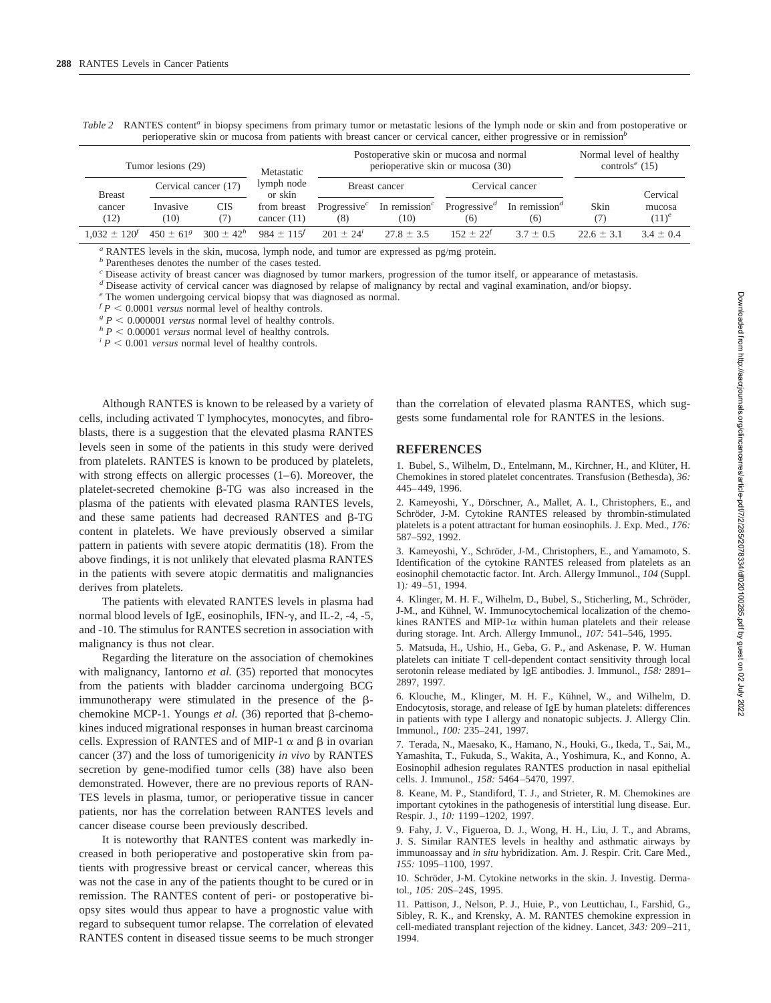| Doctoperative claim or mucoso and normal                                                                                                             | Normal lavel of healthy |
|------------------------------------------------------------------------------------------------------------------------------------------------------|-------------------------|
| perioperative skin or mucosa from patients with breast cancer or cervical cancer, either progressive or in remission <sup>6</sup>                    |                         |
| Table 2 RANTES content <sup>a</sup> in biopsy specimens from primary tumor or metastatic lesions of the lymph node or skin and from postoperative or |                         |

| Tumor lesions (29)              |                         |                  | Metastatic                   |                | Postoperative skin or mucosa and normal<br>perioperative skin or mucosa (30)                                  | Normal level of healthy<br>controls <sup>e</sup> (15) |             |              |                    |
|---------------------------------|-------------------------|------------------|------------------------------|----------------|---------------------------------------------------------------------------------------------------------------|-------------------------------------------------------|-------------|--------------|--------------------|
| <b>Breast</b><br>cancer<br>(12) | Cervical cancer (17)    |                  | lymph node<br>or skin        | Breast cancer  |                                                                                                               | Cervical cancer                                       |             |              | Cervical           |
|                                 | Invasive<br>(10)        | <b>CIS</b><br>7) | from breast<br>cancer $(11)$ | (8)            | Progressive <sup>c</sup> In remission <sup>c</sup> Progressive <sup>d</sup> In remission <sup>d</sup><br>(10) | (6)                                                   | (6)         | Skin         | mucosa<br>$(11)^e$ |
| $1.032 + 120^{t}$               | $450 + 61$ <sup>g</sup> | $300 \pm 42^h$   | $984 \pm 115^{f}$            | $201 + 24^{i}$ | $27.8 \pm 3.5$                                                                                                | $152 + 22^{f}$                                        | $3.7 + 0.5$ | $22.6 + 3.1$ | $34 + 04$          |

*<sup>a</sup>* RANTES levels in the skin, mucosa, lymph node, and tumor are expressed as pg/mg protein.

*<sup>b</sup>* Parentheses denotes the number of the cases tested.

*<sup>c</sup>* Disease activity of breast cancer was diagnosed by tumor markers, progression of the tumor itself, or appearance of metastasis.

*<sup>d</sup>* Disease activity of cervical cancer was diagnosed by relapse of malignancy by rectal and vaginal examination, and/or biopsy.

*<sup>e</sup>* The women undergoing cervical biopsy that was diagnosed as normal.

 $f$   $P$  < 0.0001 *versus* normal level of healthy controls.

 ${}^g P$  < 0.000001 versus normal level of healthy controls.<br> ${}^h P$  < 0.00001 versus normal level of healthy controls.

 $P^i$  P < 0.001 *versus* normal level of healthy controls.

Although RANTES is known to be released by a variety of cells, including activated T lymphocytes, monocytes, and fibroblasts, there is a suggestion that the elevated plasma RANTES levels seen in some of the patients in this study were derived from platelets. RANTES is known to be produced by platelets, with strong effects on allergic processes (1–6). Moreover, the platelet-secreted chemokine  $\beta$ -TG was also increased in the plasma of the patients with elevated plasma RANTES levels, and these same patients had decreased RANTES and  $\beta$ -TG content in platelets. We have previously observed a similar pattern in patients with severe atopic dermatitis (18). From the above findings, it is not unlikely that elevated plasma RANTES in the patients with severe atopic dermatitis and malignancies derives from platelets.

The patients with elevated RANTES levels in plasma had normal blood levels of IgE, eosinophils, IFN- $\gamma$ , and IL-2, -4, -5, and -10. The stimulus for RANTES secretion in association with malignancy is thus not clear.

Regarding the literature on the association of chemokines with malignancy, Iantorno *et al.* (35) reported that monocytes from the patients with bladder carcinoma undergoing BCG immunotherapy were stimulated in the presence of the  $\beta$ chemokine MCP-1. Youngs *et al.* (36) reported that  $\beta$ -chemokines induced migrational responses in human breast carcinoma cells. Expression of RANTES and of MIP-1  $\alpha$  and  $\beta$  in ovarian cancer (37) and the loss of tumorigenicity *in vivo* by RANTES secretion by gene-modified tumor cells (38) have also been demonstrated. However, there are no previous reports of RAN-TES levels in plasma, tumor, or perioperative tissue in cancer patients, nor has the correlation between RANTES levels and cancer disease course been previously described.

It is noteworthy that RANTES content was markedly increased in both perioperative and postoperative skin from patients with progressive breast or cervical cancer, whereas this was not the case in any of the patients thought to be cured or in remission. The RANTES content of peri- or postoperative biopsy sites would thus appear to have a prognostic value with regard to subsequent tumor relapse. The correlation of elevated RANTES content in diseased tissue seems to be much stronger

than the correlation of elevated plasma RANTES, which suggests some fundamental role for RANTES in the lesions.

#### **REFERENCES**

1. Bubel, S., Wilhelm, D., Entelmann, M., Kirchner, H., and Klüter, H. Chemokines in stored platelet concentrates. Transfusion (Bethesda), *36:* 445–449, 1996.

2. Kameyoshi, Y., Dörschner, A., Mallet, A. I., Christophers, E., and Schröder, J-M. Cytokine RANTES released by thrombin-stimulated platelets is a potent attractant for human eosinophils. J. Exp. Med., *176:* 587–592, 1992.

3. Kameyoshi, Y., Schröder, J-M., Christophers, E., and Yamamoto, S. Identification of the cytokine RANTES released from platelets as an eosinophil chemotactic factor. Int. Arch. Allergy Immunol., *104* (Suppl. 1)*:* 49–51, 1994.

4. Klinger, M. H. F., Wilhelm, D., Bubel, S., Sticherling, M., Schröder, J-M., and Kühnel, W. Immunocytochemical localization of the chemokines RANTES and MIP-1 $\alpha$  within human platelets and their release during storage. Int. Arch. Allergy Immunol., *107:* 541–546, 1995.

5. Matsuda, H., Ushio, H., Geba, G. P., and Askenase, P. W. Human platelets can initiate T cell-dependent contact sensitivity through local serotonin release mediated by IgE antibodies. J. Immunol., *158:* 2891– 2897, 1997.

6. Klouche, M., Klinger, M. H. F., Kühnel, W., and Wilhelm, D. Endocytosis, storage, and release of IgE by human platelets: differences in patients with type I allergy and nonatopic subjects. J. Allergy Clin. Immunol., *100:* 235–241, 1997.

7. Terada, N., Maesako, K., Hamano, N., Houki, G., Ikeda, T., Sai, M., Yamashita, T., Fukuda, S., Wakita, A., Yoshimura, K., and Konno, A. Eosinophil adhesion regulates RANTES production in nasal epithelial cells. J. Immunol., *158:* 5464–5470, 1997.

8. Keane, M. P., Standiford, T. J., and Strieter, R. M. Chemokines are important cytokines in the pathogenesis of interstitial lung disease. Eur. Respir. J., *10:* 1199–1202, 1997.

9. Fahy, J. V., Figueroa, D. J., Wong, H. H., Liu, J. T., and Abrams, J. S. Similar RANTES levels in healthy and asthmatic airways by immunoassay and *in situ* hybridization. Am. J. Respir. Crit. Care Med., *155:* 1095–1100, 1997.

10. Schröder, J-M. Cytokine networks in the skin. J. Investig. Dermatol., *105:* 20S–24S, 1995.

11. Pattison, J., Nelson, P. J., Huie, P., von Leuttichau, I., Farshid, G., Sibley, R. K., and Krensky, A. M. RANTES chemokine expression in cell-mediated transplant rejection of the kidney. Lancet, *343:* 209–211, 1994.